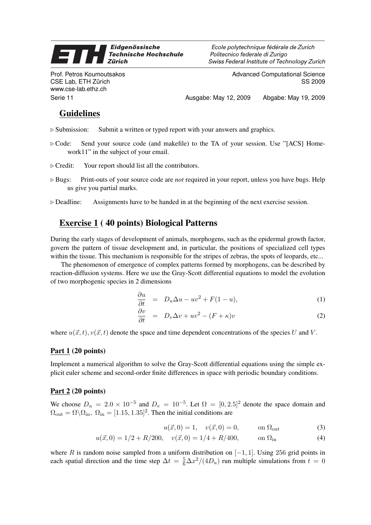#### Eidgenössische 9 **Technische Hochschule Zürich**

Prof. Petros Koumoutsakos CSE Lab, ETH Zürich www.cse-lab.ethz.ch

Ecole polytechnique fédérale de Zurich Politecnico federale di Zurigo Swiss Federal Institute of Technology Zurich

> Advanced Computational Science SS 2009

Serie 11 Ausgabe: May 12, 2009 Abgabe: May 19, 2009

# Guidelines

- $\triangleright$  Submission: Submit a written or typed report with your answers and graphics.
- $\triangleright$  Code: Send your source code (and makefile) to the TA of your session. Use "[ACS] Homework11" in the subject of your email.
- $\triangleright$  Credit: Your report should list all the contributors.
- . Bugs: Print-outs of your source code are *not* required in your report, unless you have bugs. Help us give you partial marks.
- $\triangleright$  Deadline: Assignments have to be handed in at the beginning of the next exercise session.

## Exercise 1 ( 40 points) Biological Patterns

During the early stages of development of animals, morphogens, such as the epidermal growth factor, govern the pattern of tissue development and, in particular, the positions of specialized cell types within the tissue. This mechanism is responsible for the stripes of zebras, the spots of leopards, etc...

The phenomenon of emergence of complex patterns formed by morphogens, can be described by reaction-diffusion systems. Here we use the Gray-Scott differential equations to model the evolution of two morphogenic species in 2 dimensions

$$
\frac{\partial u}{\partial t} = D_u \Delta u - uv^2 + F(1 - u), \tag{1}
$$

$$
\frac{\partial v}{\partial t} = D_v \Delta v + uv^2 - (F + \kappa)v \tag{2}
$$

where  $u(\vec{x}, t)$ ,  $v(\vec{x}, t)$  denote the space and time dependent concentrations of the species U and V.

### Part  $1(20$  points)

Implement a numerical algorithm to solve the Gray-Scott differential equations using the simple explicit euler scheme and second-order finite differences in space with periodic boundary conditions.

#### Part 2 (20 points)

We choose  $D_u = 2.0 \times 10^{-5}$  and  $D_v = 10^{-5}$ . Let  $\Omega = [0, 2.5]^2$  denote the space domain and  $\Omega_{\text{out}} = \Omega \backslash \Omega_{\text{in}}$ ,  $\Omega_{\text{in}} = [1.15, 1.35]^2$ . Then the initial conditions are

$$
u(\vec{x},0) = 1, \quad v(\vec{x},0) = 0, \quad \text{on } \Omega_{\text{out}}
$$
 (3)

$$
u(\vec{x},0) = 1/2 + R/200, \quad v(\vec{x},0) = 1/4 + R/400, \qquad \text{on } \Omega_{\text{in}} \tag{4}
$$

where R is random noise sampled from a uniform distribution on  $[-1, 1]$ . Using 256 grid points in each spatial direction and the time step  $\Delta t = \frac{5}{6} \Delta x^2 / (4D_u)$  run multiple simulations from  $t = 0$